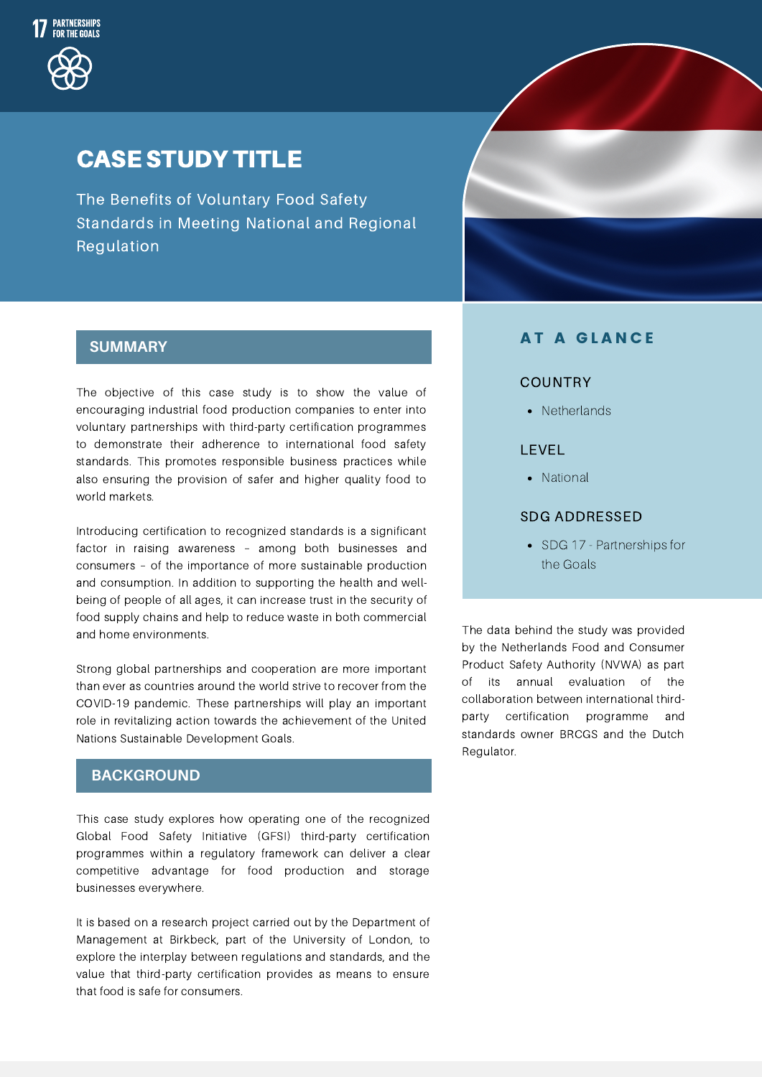

# CASE STUDY TITLE

The Benefits of Voluntary Food Safety Standards in Meeting National and Regional Regulation

# **SUMMARY**

The objective of this case study is to show the value of encouraging industrial food production companies to enter into voluntary partnerships with third-party certification programmes to demonstrate their adherence to international food safety standards. This promotes responsible business practices while also ensuring the provision of safer and higher quality food to world markets.

Introducing certification to recognized standards is a significant factor in raising awareness – among both businesses and consumers – of the importance of more sustainable production and consumption. In addition to supporting the health and wellbeing of people of all ages, it can increase trust in the security of food supply chains and help to reduce waste in both commercial and home environments.

Strong global partnerships and cooperation are more important than ever as countries around the world strive to recover from the COVID-19 pandemic. These partnerships will play an important role in revitalizing action towards the achievement of the United Nations Sustainable Development Goals.

## **BACKGROUND**

This case study explores how operating one of the recognized Global Food Safety Initiative (GFSI) third-party certification programmes within a regulatory framework can deliver a clear competitive advantage for food production and storage businesses everywhere.

It is based on a research project carried out by the Department of Management at Birkbeck, part of the University of London, to explore the interplay between regulations and standards, and the value that third-party certification provides as means to ensure that food is safe for consumers.

### **AT A GLANCE**

#### COUNTRY

• Netherlands

#### LEVEL

• National

#### SDG ADDRESSED

• SDG 17 - Partnerships for the Goals

The data behind the study was provided by the Netherlands Food and Consumer Product Safety Authority (NVWA) as part of its annual evaluation of the collaboration between international thirdparty certification programme and standards owner BRCGS and the Dutch Regulator.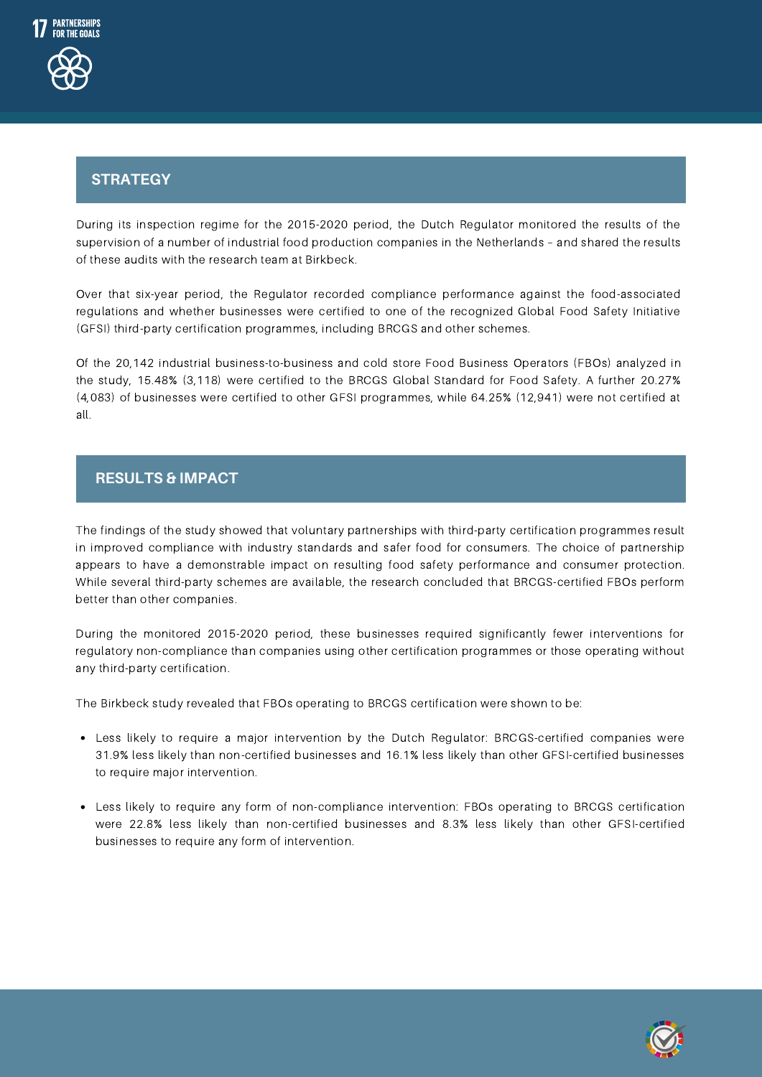

# Strategy **STRATEGY**

During its inspection regime for the 2015-2020 period, the Dutch Regulator monitored the results of the supervision of a number of industrial food production companies in the Netherlands – and shared the results of these audits with the research team at Birkbeck.

Over that six-year period, the Regulator recorded compliance performance against the food-associated regulations and whether businesses were certified to one of the recognized Global Food Safety Initiative (GFSI) third-party certification programmes, including BRCGS and other schemes.

Of the 20,142 industrial business-to-business and cold store Food Business Operators (FBOs) analyzed in the study, 15.48% (3,118) were certified to the BRCGS Global Standard for Food Safety. A further 20.27% (4,083) of businesses were certified to other GFSI programmes, while 64.25% (12,941) were not certified at all.

### **RESULTS & IMPACT**

The findings of the study showed that voluntary partnerships with third-party certification programmes result in improved compliance with industry standards and safer food for consumers. The choice of partnership appears to have a demonstrable impact on resulting food safety performance and consumer protection. While several third-party schemes are available, the research concluded that BRCGS-certified FBOs perform better than other companies.

During the monitored 2015-2020 period, these businesses required significantly fewer interventions for regulatory non-compliance than companies using other certification programmes or those operating without any third-party certification.

The Birkbeck study revealed that FBOs operating to BRCGS certification were shown to be:

- Less likely to require a major intervention by the Dutch Regulator: BRCGS-certified companies were 31.9% less likely than non-certified businesses and 16.1% less likely than other GFSI-certified businesses to require major intervention.
- Less likely to require any form of non-compliance intervention: FBOs operating to BRCGS certification were 22.8% less likely than non-certified businesses and 8.3% less likely than other GFSI-certified businesses to require any form of intervention.